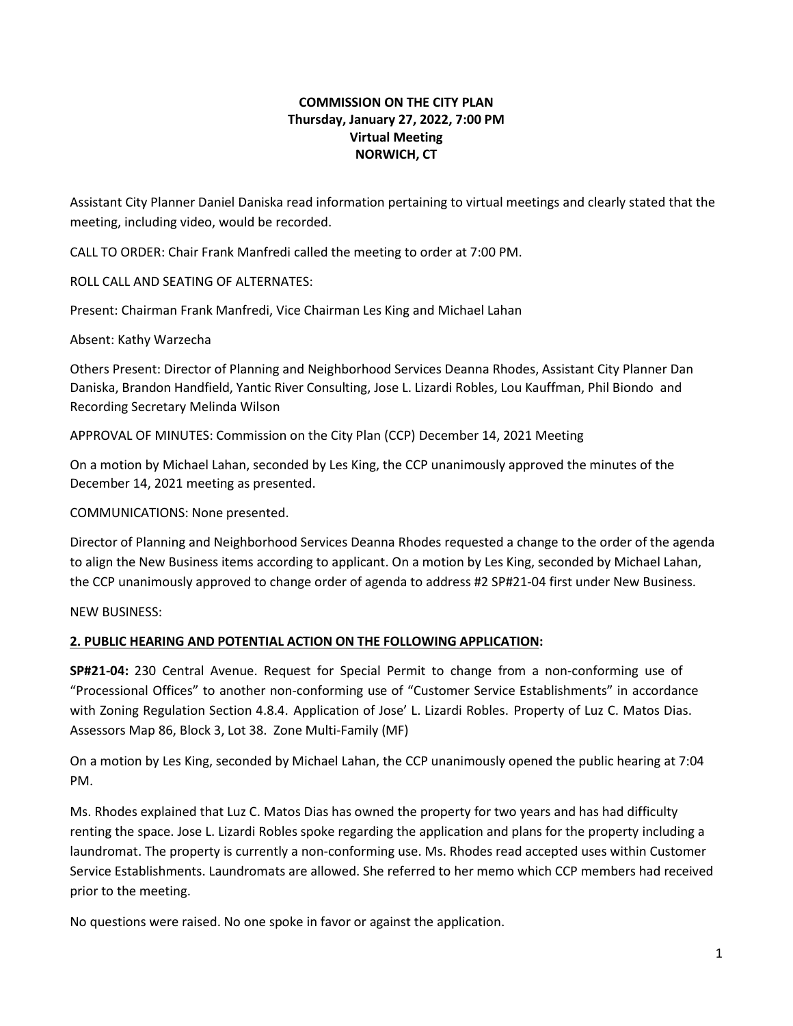## **COMMISSION ON THE CITY PLAN Thursday, January 27, 2022, 7:00 PM Virtual Meeting NORWICH, CT**

Assistant City Planner Daniel Daniska read information pertaining to virtual meetings and clearly stated that the meeting, including video, would be recorded.

CALL TO ORDER: Chair Frank Manfredi called the meeting to order at 7:00 PM.

ROLL CALL AND SEATING OF ALTERNATES:

Present: Chairman Frank Manfredi, Vice Chairman Les King and Michael Lahan

Absent: Kathy Warzecha

Others Present: Director of Planning and Neighborhood Services Deanna Rhodes, Assistant City Planner Dan Daniska, Brandon Handfield, Yantic River Consulting, Jose L. Lizardi Robles, Lou Kauffman, Phil Biondo and Recording Secretary Melinda Wilson

APPROVAL OF MINUTES: Commission on the City Plan (CCP) December 14, 2021 Meeting

On a motion by Michael Lahan, seconded by Les King, the CCP unanimously approved the minutes of the December 14, 2021 meeting as presented.

COMMUNICATIONS: None presented.

Director of Planning and Neighborhood Services Deanna Rhodes requested a change to the order of the agenda to align the New Business items according to applicant. On a motion by Les King, seconded by Michael Lahan, the CCP unanimously approved to change order of agenda to address #2 SP#21-04 first under New Business.

NEW BUSINESS:

## **2. PUBLIC HEARING AND POTENTIAL ACTION ON THE FOLLOWING APPLICATION:**

**SP#21-04:** 230 Central Avenue. Request for Special Permit to change from a non-conforming use of "Processional Offices" to another non-conforming use of "Customer Service Establishments" in accordance with Zoning Regulation Section 4.8.4. Application of Jose' L. Lizardi Robles. Property of Luz C. Matos Dias. Assessors Map 86, Block 3, Lot 38. Zone Multi-Family (MF)

On a motion by Les King, seconded by Michael Lahan, the CCP unanimously opened the public hearing at 7:04 PM.

Ms. Rhodes explained that Luz C. Matos Dias has owned the property for two years and has had difficulty renting the space. Jose L. Lizardi Robles spoke regarding the application and plans for the property including a laundromat. The property is currently a non-conforming use. Ms. Rhodes read accepted uses within Customer Service Establishments. Laundromats are allowed. She referred to her memo which CCP members had received prior to the meeting.

No questions were raised. No one spoke in favor or against the application.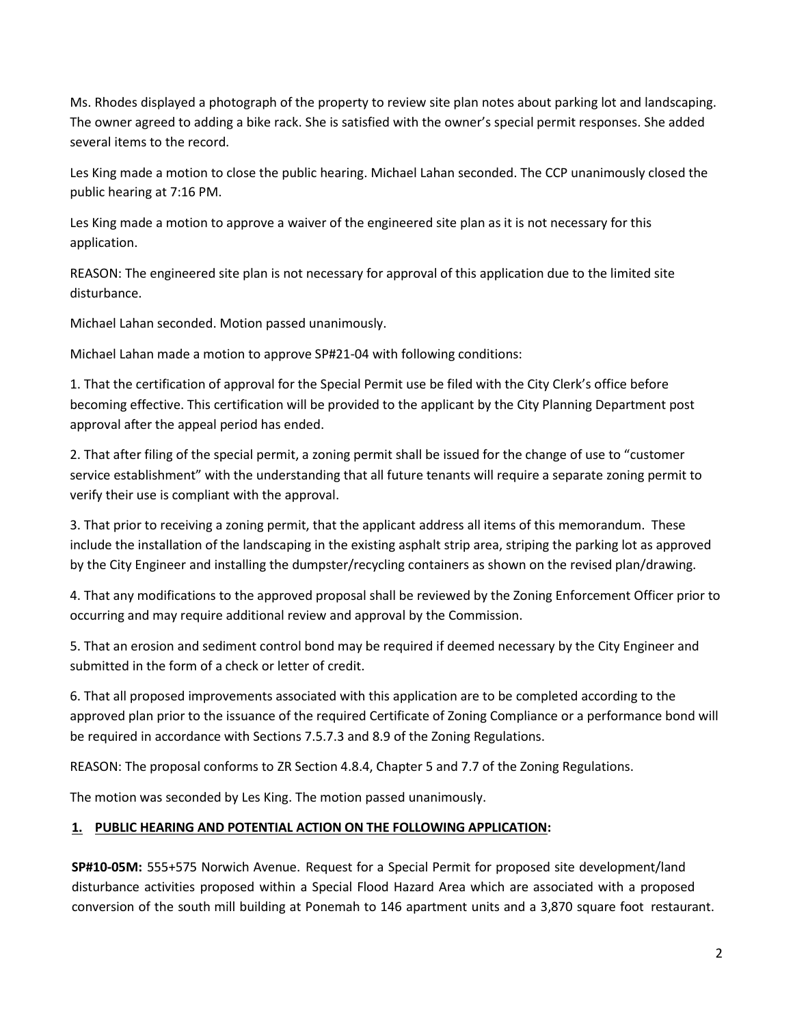Ms. Rhodes displayed a photograph of the property to review site plan notes about parking lot and landscaping. The owner agreed to adding a bike rack. She is satisfied with the owner's special permit responses. She added several items to the record.

Les King made a motion to close the public hearing. Michael Lahan seconded. The CCP unanimously closed the public hearing at 7:16 PM.

Les King made a motion to approve a waiver of the engineered site plan as it is not necessary for this application.

REASON: The engineered site plan is not necessary for approval of this application due to the limited site disturbance.

Michael Lahan seconded. Motion passed unanimously.

Michael Lahan made a motion to approve SP#21-04 with following conditions:

1. That the certification of approval for the Special Permit use be filed with the City Clerk's office before becoming effective. This certification will be provided to the applicant by the City Planning Department post approval after the appeal period has ended.

2. That after filing of the special permit, a zoning permit shall be issued for the change of use to "customer service establishment" with the understanding that all future tenants will require a separate zoning permit to verify their use is compliant with the approval.

3. That prior to receiving a zoning permit, that the applicant address all items of this memorandum. These include the installation of the landscaping in the existing asphalt strip area, striping the parking lot as approved by the City Engineer and installing the dumpster/recycling containers as shown on the revised plan/drawing.

4. That any modifications to the approved proposal shall be reviewed by the Zoning Enforcement Officer prior to occurring and may require additional review and approval by the Commission.

5. That an erosion and sediment control bond may be required if deemed necessary by the City Engineer and submitted in the form of a check or letter of credit.

6. That all proposed improvements associated with this application are to be completed according to the approved plan prior to the issuance of the required Certificate of Zoning Compliance or a performance bond will be required in accordance with Sections 7.5.7.3 and 8.9 of the Zoning Regulations.

REASON: The proposal conforms to ZR Section 4.8.4, Chapter 5 and 7.7 of the Zoning Regulations.

The motion was seconded by Les King. The motion passed unanimously.

## **1. PUBLIC HEARING AND POTENTIAL ACTION ON THE FOLLOWING APPLICATION:**

**SP#10-05M:** 555+575 Norwich Avenue. Request for a Special Permit for proposed site development/land disturbance activities proposed within a Special Flood Hazard Area which are associated with a proposed conversion of the south mill building at Ponemah to 146 apartment units and a 3,870 square foot restaurant.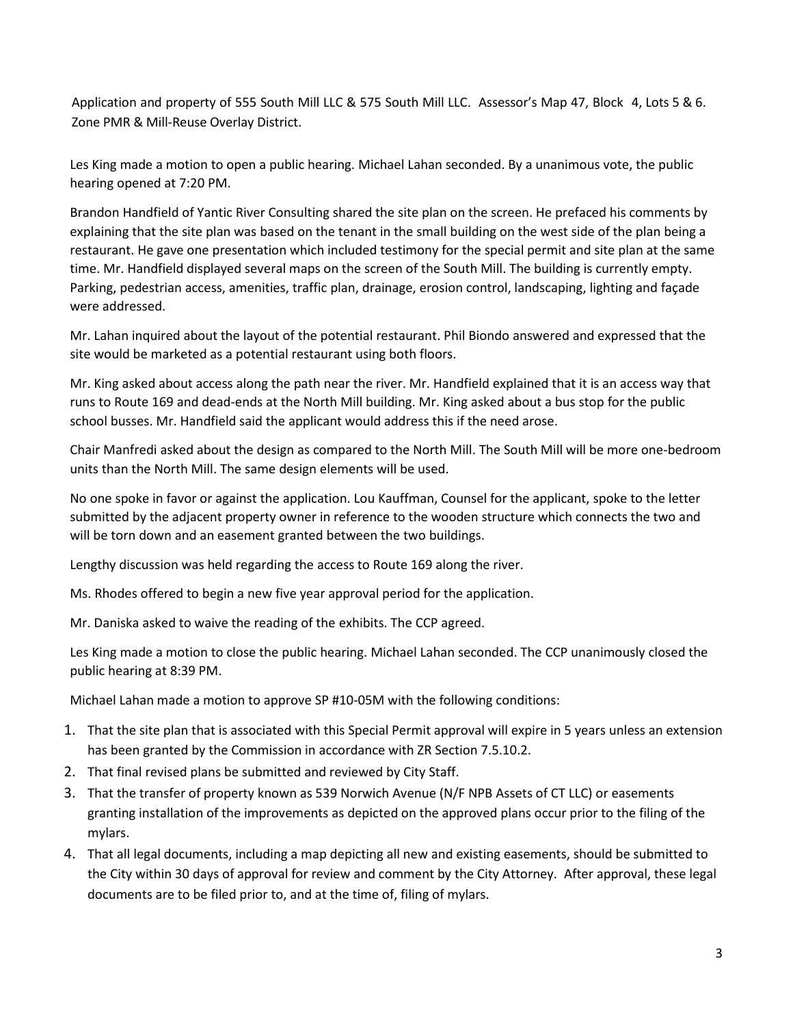Application and property of 555 South Mill LLC & 575 South Mill LLC. Assessor's Map 47, Block 4, Lots 5 & 6. Zone PMR & Mill-Reuse Overlay District.

Les King made a motion to open a public hearing. Michael Lahan seconded. By a unanimous vote, the public hearing opened at 7:20 PM.

Brandon Handfield of Yantic River Consulting shared the site plan on the screen. He prefaced his comments by explaining that the site plan was based on the tenant in the small building on the west side of the plan being a restaurant. He gave one presentation which included testimony for the special permit and site plan at the same time. Mr. Handfield displayed several maps on the screen of the South Mill. The building is currently empty. Parking, pedestrian access, amenities, traffic plan, drainage, erosion control, landscaping, lighting and façade were addressed.

Mr. Lahan inquired about the layout of the potential restaurant. Phil Biondo answered and expressed that the site would be marketed as a potential restaurant using both floors.

Mr. King asked about access along the path near the river. Mr. Handfield explained that it is an access way that runs to Route 169 and dead-ends at the North Mill building. Mr. King asked about a bus stop for the public school busses. Mr. Handfield said the applicant would address this if the need arose.

Chair Manfredi asked about the design as compared to the North Mill. The South Mill will be more one-bedroom units than the North Mill. The same design elements will be used.

No one spoke in favor or against the application. Lou Kauffman, Counsel for the applicant, spoke to the letter submitted by the adjacent property owner in reference to the wooden structure which connects the two and will be torn down and an easement granted between the two buildings.

Lengthy discussion was held regarding the access to Route 169 along the river.

Ms. Rhodes offered to begin a new five year approval period for the application.

Mr. Daniska asked to waive the reading of the exhibits. The CCP agreed.

Les King made a motion to close the public hearing. Michael Lahan seconded. The CCP unanimously closed the public hearing at 8:39 PM.

Michael Lahan made a motion to approve SP #10-05M with the following conditions:

- 1. That the site plan that is associated with this Special Permit approval will expire in 5 years unless an extension has been granted by the Commission in accordance with ZR Section 7.5.10.2.
- 2. That final revised plans be submitted and reviewed by City Staff.
- 3. That the transfer of property known as 539 Norwich Avenue (N/F NPB Assets of CT LLC) or easements granting installation of the improvements as depicted on the approved plans occur prior to the filing of the mylars.
- 4. That all legal documents, including a map depicting all new and existing easements, should be submitted to the City within 30 days of approval for review and comment by the City Attorney. After approval, these legal documents are to be filed prior to, and at the time of, filing of mylars.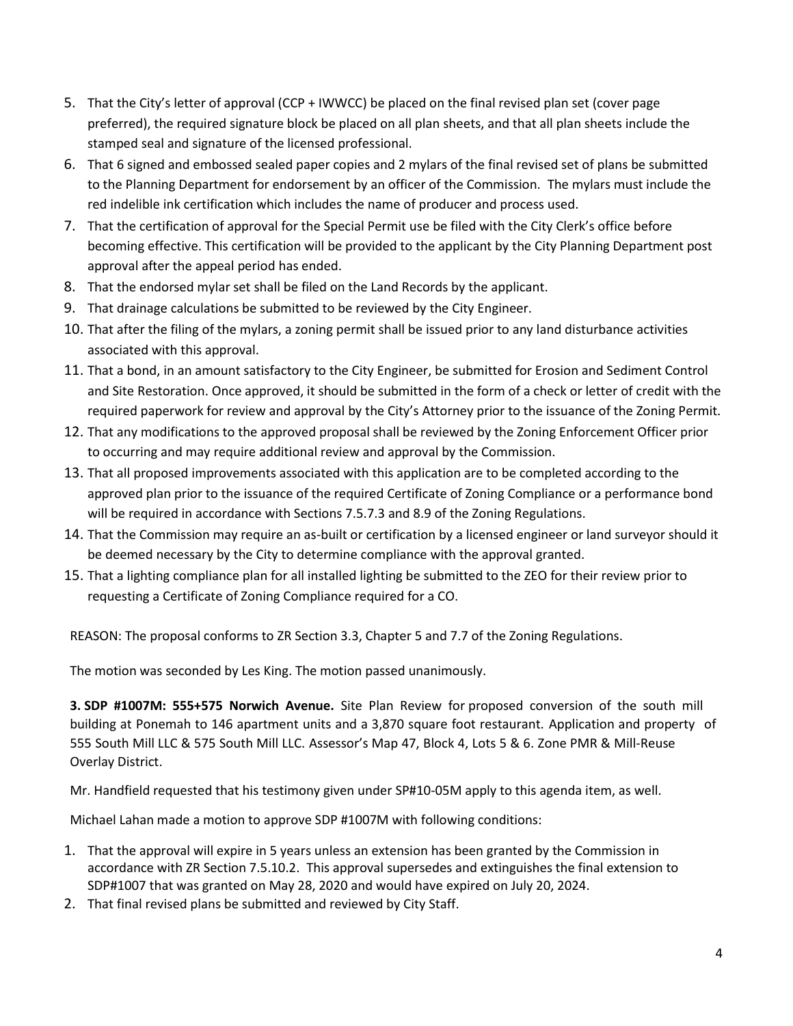- 5. That the City's letter of approval (CCP + IWWCC) be placed on the final revised plan set (cover page preferred), the required signature block be placed on all plan sheets, and that all plan sheets include the stamped seal and signature of the licensed professional.
- 6. That 6 signed and embossed sealed paper copies and 2 mylars of the final revised set of plans be submitted to the Planning Department for endorsement by an officer of the Commission. The mylars must include the red indelible ink certification which includes the name of producer and process used.
- 7. That the certification of approval for the Special Permit use be filed with the City Clerk's office before becoming effective. This certification will be provided to the applicant by the City Planning Department post approval after the appeal period has ended.
- 8. That the endorsed mylar set shall be filed on the Land Records by the applicant.
- 9. That drainage calculations be submitted to be reviewed by the City Engineer.
- 10. That after the filing of the mylars, a zoning permit shall be issued prior to any land disturbance activities associated with this approval.
- 11. That a bond, in an amount satisfactory to the City Engineer, be submitted for Erosion and Sediment Control and Site Restoration. Once approved, it should be submitted in the form of a check or letter of credit with the required paperwork for review and approval by the City's Attorney prior to the issuance of the Zoning Permit.
- 12. That any modifications to the approved proposal shall be reviewed by the Zoning Enforcement Officer prior to occurring and may require additional review and approval by the Commission.
- 13. That all proposed improvements associated with this application are to be completed according to the approved plan prior to the issuance of the required Certificate of Zoning Compliance or a performance bond will be required in accordance with Sections 7.5.7.3 and 8.9 of the Zoning Regulations.
- 14. That the Commission may require an as-built or certification by a licensed engineer or land surveyor should it be deemed necessary by the City to determine compliance with the approval granted.
- 15. That a lighting compliance plan for all installed lighting be submitted to the ZEO for their review prior to requesting a Certificate of Zoning Compliance required for a CO.

REASON: The proposal conforms to ZR Section 3.3, Chapter 5 and 7.7 of the Zoning Regulations.

The motion was seconded by Les King. The motion passed unanimously.

**3. SDP #1007M: 555+575 Norwich Avenue.** Site Plan Review for proposed conversion of the south mill building at Ponemah to 146 apartment units and a 3,870 square foot restaurant. Application and property of 555 South Mill LLC & 575 South Mill LLC. Assessor's Map 47, Block 4, Lots 5 & 6. Zone PMR & Mill-Reuse Overlay District.

Mr. Handfield requested that his testimony given under SP#10-05M apply to this agenda item, as well.

Michael Lahan made a motion to approve SDP #1007M with following conditions:

- 1. That the approval will expire in 5 years unless an extension has been granted by the Commission in accordance with ZR Section 7.5.10.2. This approval supersedes and extinguishes the final extension to SDP#1007 that was granted on May 28, 2020 and would have expired on July 20, 2024.
- 2. That final revised plans be submitted and reviewed by City Staff.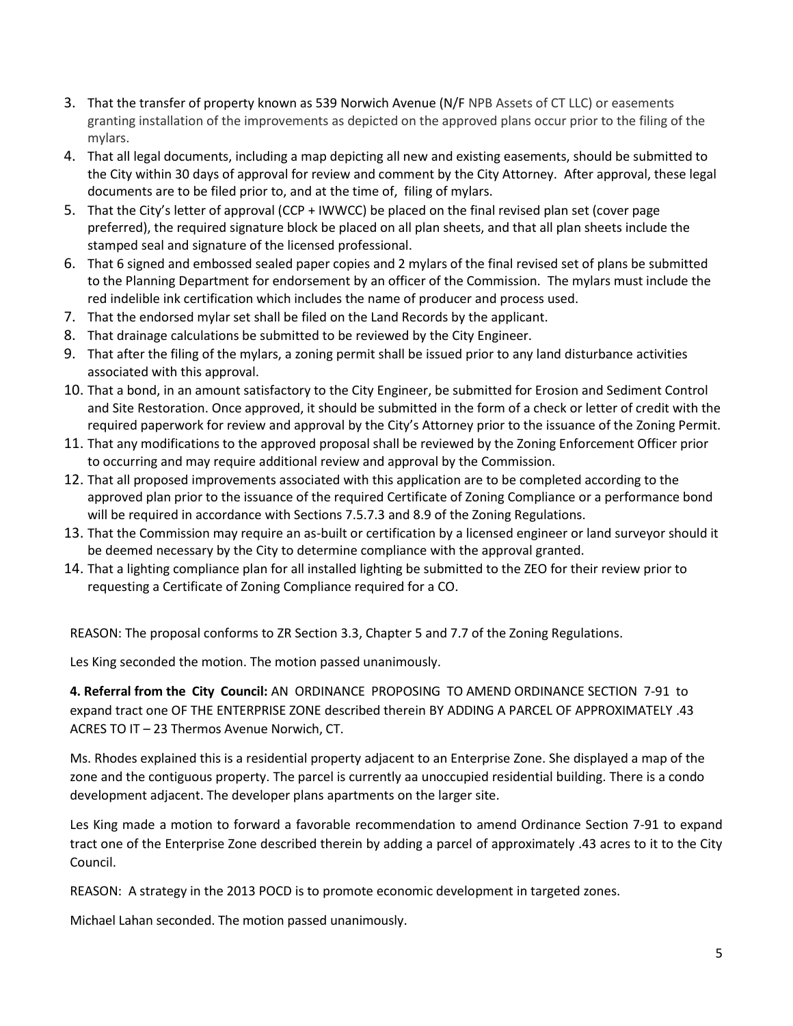- 3. That the transfer of property known as 539 Norwich Avenue (N/F NPB Assets of CT LLC) or easements granting installation of the improvements as depicted on the approved plans occur prior to the filing of the mylars.
- 4. That all legal documents, including a map depicting all new and existing easements, should be submitted to the City within 30 days of approval for review and comment by the City Attorney. After approval, these legal documents are to be filed prior to, and at the time of, filing of mylars.
- 5. That the City's letter of approval (CCP + IWWCC) be placed on the final revised plan set (cover page preferred), the required signature block be placed on all plan sheets, and that all plan sheets include the stamped seal and signature of the licensed professional.
- 6. That 6 signed and embossed sealed paper copies and 2 mylars of the final revised set of plans be submitted to the Planning Department for endorsement by an officer of the Commission. The mylars must include the red indelible ink certification which includes the name of producer and process used.
- 7. That the endorsed mylar set shall be filed on the Land Records by the applicant.
- 8. That drainage calculations be submitted to be reviewed by the City Engineer.
- 9. That after the filing of the mylars, a zoning permit shall be issued prior to any land disturbance activities associated with this approval.
- 10. That a bond, in an amount satisfactory to the City Engineer, be submitted for Erosion and Sediment Control and Site Restoration. Once approved, it should be submitted in the form of a check or letter of credit with the required paperwork for review and approval by the City's Attorney prior to the issuance of the Zoning Permit.
- 11. That any modifications to the approved proposal shall be reviewed by the Zoning Enforcement Officer prior to occurring and may require additional review and approval by the Commission.
- 12. That all proposed improvements associated with this application are to be completed according to the approved plan prior to the issuance of the required Certificate of Zoning Compliance or a performance bond will be required in accordance with Sections 7.5.7.3 and 8.9 of the Zoning Regulations.
- 13. That the Commission may require an as-built or certification by a licensed engineer or land surveyor should it be deemed necessary by the City to determine compliance with the approval granted.
- 14. That a lighting compliance plan for all installed lighting be submitted to the ZEO for their review prior to requesting a Certificate of Zoning Compliance required for a CO.

REASON: The proposal conforms to ZR Section 3.3, Chapter 5 and 7.7 of the Zoning Regulations.

Les King seconded the motion. The motion passed unanimously.

**4. Referral from the City Council:** AN ORDINANCE PROPOSING TO AMEND ORDINANCE SECTION 7-91 to expand tract one OF THE ENTERPRISE ZONE described therein BY ADDING A PARCEL OF APPROXIMATELY .43 ACRES TO IT – 23 Thermos Avenue Norwich, CT.

Ms. Rhodes explained this is a residential property adjacent to an Enterprise Zone. She displayed a map of the zone and the contiguous property. The parcel is currently aa unoccupied residential building. There is a condo development adjacent. The developer plans apartments on the larger site.

Les King made a motion to forward a favorable recommendation to amend Ordinance Section 7-91 to expand tract one of the Enterprise Zone described therein by adding a parcel of approximately .43 acres to it to the City Council.

REASON: A strategy in the 2013 POCD is to promote economic development in targeted zones.

Michael Lahan seconded. The motion passed unanimously.